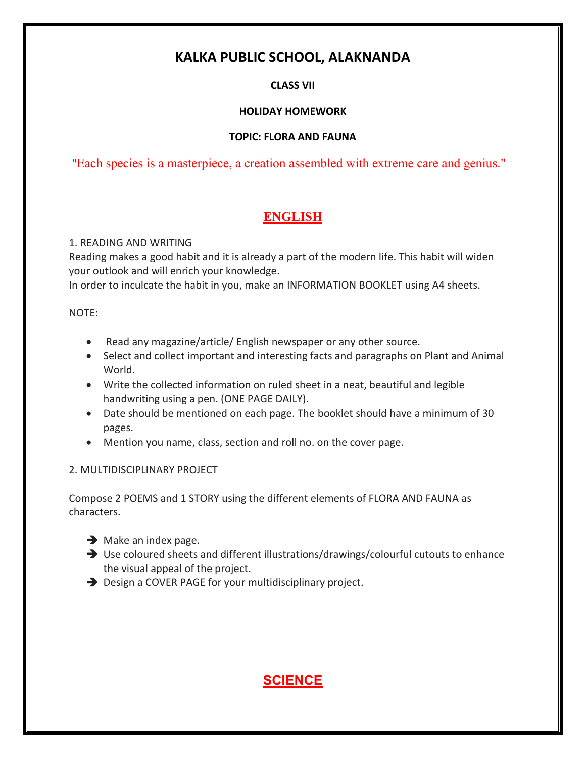# **KALKA PUBLIC SCHOOL, ALAKNANDA**

## **CLASS VII**

## **HOLIDAY HOMEWORK**

## **TOPIC: FLORA AND FAUNA**

"Each species is a masterpiece, a creation assembled with extreme care and genius."

# **ENGLISH**

## 1. READING AND WRITING

Reading makes a good habit and it is already a part of the modern life. This habit will widen your outlook and will enrich your knowledge.

In order to inculcate the habit in you, make an INFORMATION BOOKLET using A4 sheets.

### NOTE:

- Read any magazine/article/ English newspaper or any other source.
- Select and collect important and interesting facts and paragraphs on Plant and Animal World.
- Write the collected information on ruled sheet in a neat, beautiful and legible handwriting using a pen. (ONE PAGE DAILY).
- Date should be mentioned on each page. The booklet should have a minimum of 30 pages.
- Mention you name, class, section and roll no. on the cover page.

## 2. MULTIDISCIPLINARY PROJECT

Compose 2 POEMS and 1 STORY using the different elements of FLORA AND FAUNA as characters.

- $\rightarrow$  Make an index page.
- Use coloured sheets and different illustrations/drawings/colourful cutouts to enhance the visual appeal of the project.
- **→** Design a COVER PAGE for your multidisciplinary project.

# **SCIENCE**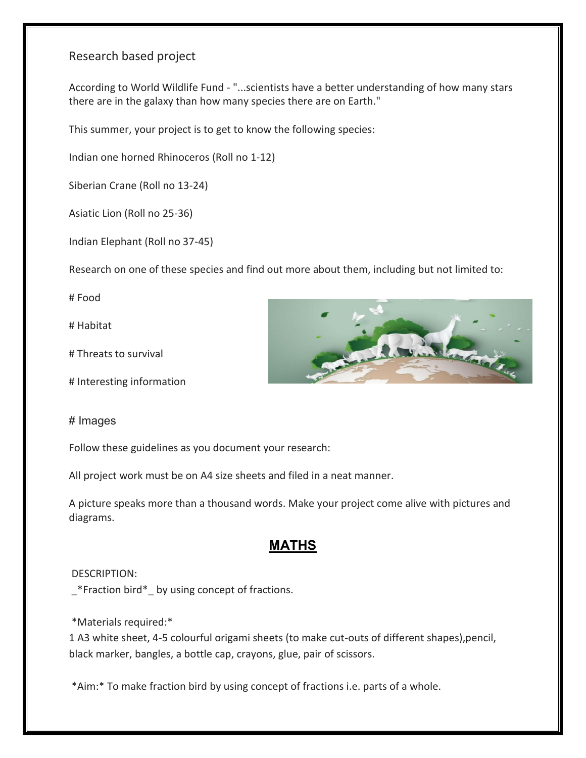## Research based project

According to World Wildlife Fund - "...scientists have a better understanding of how many stars there are in the galaxy than how many species there are on Earth."

This summer, your project is to get to know the following species:

Indian one horned Rhinoceros (Roll no 1-12)

Siberian Crane (Roll no 13-24)

Asiatic Lion (Roll no 25-36)

Indian Elephant (Roll no 37-45)

Research on one of these species and find out more about them, including but not limited to:

# Food

# Habitat

# Threats to survival

# Interesting information

#### # Images

Follow these guidelines as you document your research:

All project work must be on A4 size sheets and filed in a neat manner.

A picture speaks more than a thousand words. Make your project come alive with pictures and diagrams.

## **MATHS**

#### DESCRIPTION:

\_\*Fraction bird\*\_ by using concept of fractions.

\*Materials required:\*

1 A3 white sheet, 4-5 colourful origami sheets (to make cut-outs of different shapes),pencil, black marker, bangles, a bottle cap, crayons, glue, pair of scissors.

\*Aim:\* To make fraction bird by using concept of fractions i.e. parts of a whole.

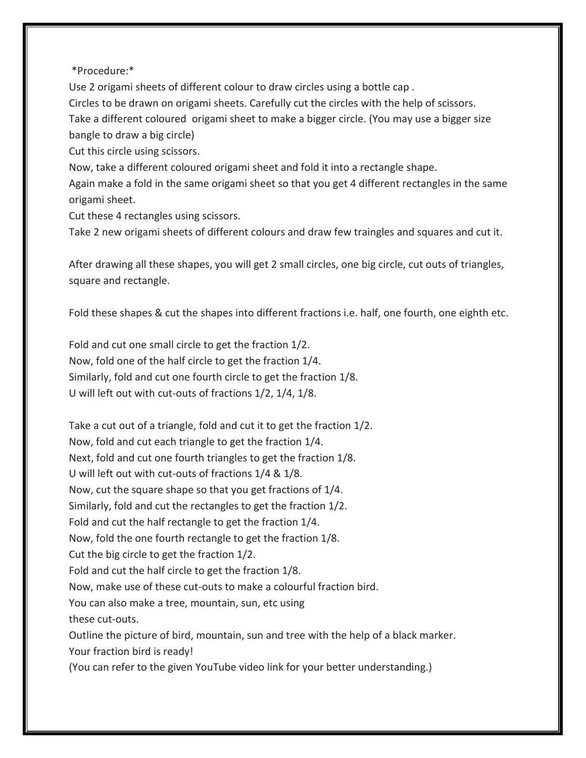#### \*Procedure:\*

Use 2 origami sheets of different colour to draw circles using a bottle cap . Circles to be drawn on origami sheets. Carefully cut the circles with the help of scissors. Take a different coloured origami sheet to make a bigger circle. (You may use a bigger size bangle to draw a big circle)

Cut this circle using scissors.

Now, take a different coloured origami sheet and fold it into a rectangle shape.

Again make a fold in the same origami sheet so that you get 4 different rectangles in the same origami sheet.

Cut these 4 rectangles using scissors.

Take 2 new origami sheets of different colours and draw few traingles and squares and cut it.

After drawing all these shapes, you will get 2 small circles, one big circle, cut outs of triangles, square and rectangle.

Fold these shapes & cut the shapes into different fractions i.e. half, one fourth, one eighth etc.

Fold and cut one small circle to get the fraction 1/2. Now, fold one of the half circle to get the fraction 1/4. Similarly, fold and cut one fourth circle to get the fraction 1/8. U will left out with cut-outs of fractions 1/2, 1/4, 1/8.

Take a cut out of a triangle, fold and cut it to get the fraction 1/2. Now, fold and cut each triangle to get the fraction 1/4. Next, fold and cut one fourth triangles to get the fraction 1/8. U will left out with cut-outs of fractions 1/4 & 1/8. Now, cut the square shape so that you get fractions of 1/4. Similarly, fold and cut the rectangles to get the fraction 1/2. Fold and cut the half rectangle to get the fraction 1/4. Now, fold the one fourth rectangle to get the fraction 1/8. Cut the big circle to get the fraction 1/2. Fold and cut the half circle to get the fraction 1/8. Now, make use of these cut-outs to make a colourful fraction bird. You can also make a tree, mountain, sun, etc using these cut-outs. Outline the picture of bird, mountain, sun and tree with the help of a black marker. Your fraction bird is ready! (You can refer to the given YouTube video link for your better understanding.)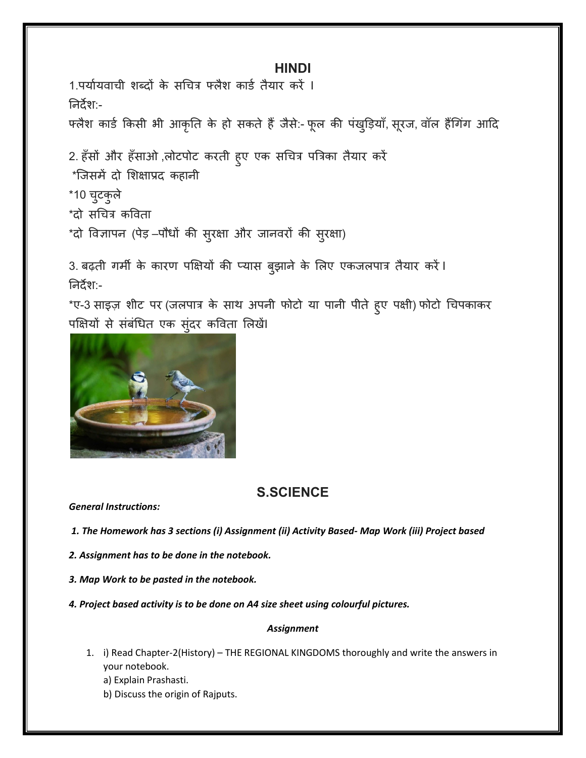### **HINDI**

<u>1.पर्यायवाची शब्दों के सचित्र फ्लैश कार्ड तैयार करें ।</u> ननदेश:- फ्लैश कार्ड किसी भी आकृति के हो सकते हैं जैसे:- फूल की पंखुड़ियाँ, सूरज, वॉल हैंगिंग आदि 2. हँसों और हँसाओ ,लोटपोट करती हुए एक सचित्र पत्रिका तैयार करें \*जिसमें दो शिक्षाप्रद कहानी \*10 चटुकुरे

\*दो सचित्र कविता

\*दो विज्ञापन (पेड़ –पौधों की सुरक्षा और जानवरों की सुरक्षा)

3. बढ़ती गर्मी के कारण पक्षियों की प्यास बुझाने के लिए एकजलपात्र तैयार करें। ननदेश:-

\*ए-3 साइज़ शीट पर (जलपात्र के साथ अपनी फोटो या पानी पीते हुए पक्षी) फोटो चिपकाकर पक्षियों से संबंधित एक सुंदर कविता लिखें।



## **S.SCIENCE**

*General Instructions:* 

*1. The Homework has 3 sections (i) Assignment (ii) Activity Based- Map Work (iii) Project based*

*2. Assignment has to be done in the notebook.*

*3. Map Work to be pasted in the notebook.*

*4. Project based activity is to be done on A4 size sheet using colourful pictures.*

#### *Assignment*

1. i) Read Chapter-2(History) – THE REGIONAL KINGDOMS thoroughly and write the answers in your notebook.

a) Explain Prashasti.

b) Discuss the origin of Rajputs.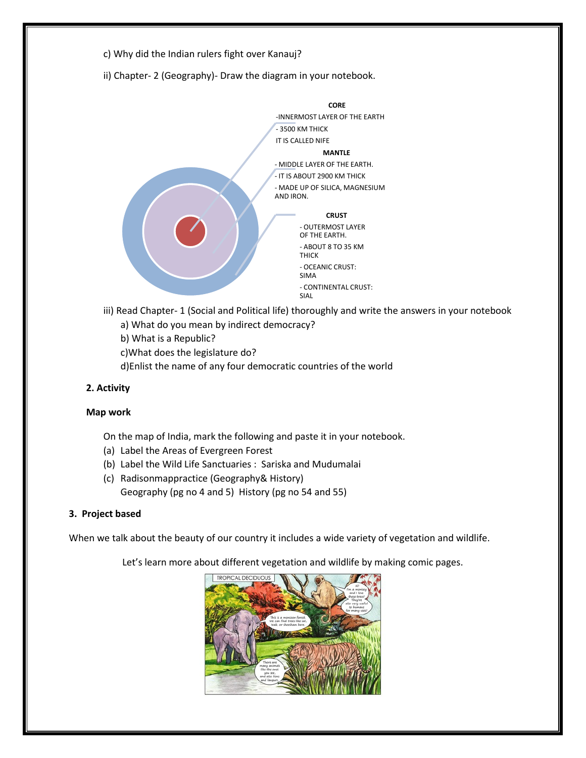

ii) Chapter- 2 (Geography)- Draw the diagram in your notebook.



- iii) Read Chapter- 1 (Social and Political life) thoroughly and write the answers in your notebook a) What do you mean by indirect democracy?
	- b) What is a Republic?
	- c)What does the legislature do?
	- d)Enlist the name of any four democratic countries of the world

#### **2. Activity**

#### **Map work**

- On the map of India, mark the following and paste it in your notebook.
- (a) Label the Areas of Evergreen Forest
- (b) Label the Wild Life Sanctuaries : Sariska and Mudumalai
- (c) Radisonmappractice (Geography& History) Geography (pg no 4 and 5) History (pg no 54 and 55)

#### **3. Project based**

When we talk about the beauty of our country it includes a wide variety of vegetation and wildlife.

Let's learn more about different vegetation and wildlife by making comic pages.